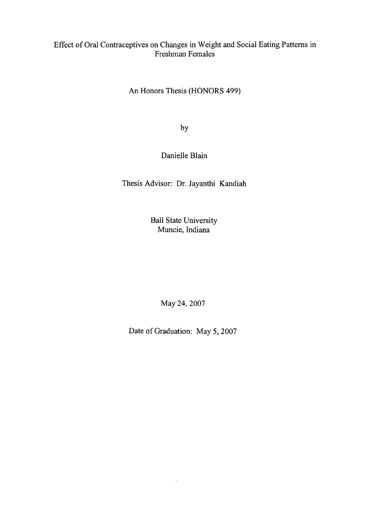# Effect of Oral Contraceptives on Changes in Weight and Social Eating Patterns in Freshman Females

An Honors Thesis (HONORS 499)

by

# Danielle Blain

Thesis Advisor: Dr. Jayanthi Kandiah

Ball State University Muncie, Indiana

May 24, 2007

Date of Graduation: May 5, 2007

 $\epsilon$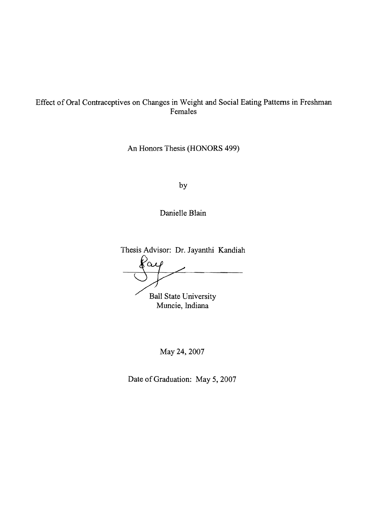# Effect of Oral Contraceptives on Changes in Weight and Social Eating Patterns in Freshman Females

An Honors Thesis (HONORS 499)

by

Danielle Blain

Thesis Advisor: Dr. Jayanthi Kandiah  $\alpha$ Ball State University Muncie, Indiana

May 24,2007

Date of Graduation: May 5, 2007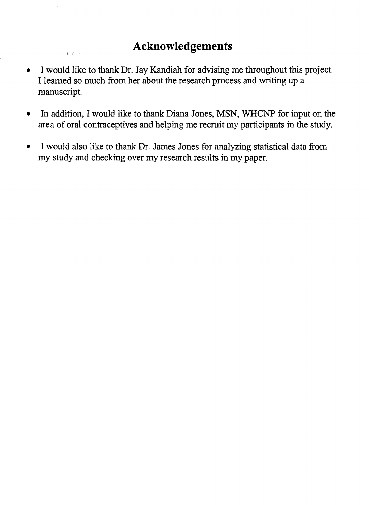# **Acknowledgements**

 $L^{\alpha}$  is  $\beta$  .

- I would like to thank Dr. Jay Kandiah for advising me throughout this project. I learned so much from her about the research process and writing up a manuscript.
- In addition, I would like to thank Diana Jones, MSN, WHCNP for input on the area of orai contraceptives and helping me recruit my participants in the study.
- I would also like to thank Dr. James Jones for analyzing statistical data from my study and checking over my research results in my paper.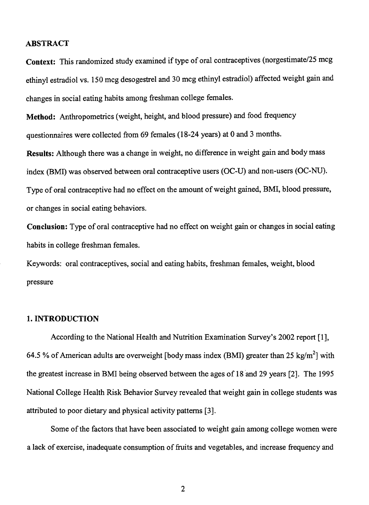# **ABSTRACT**

Context: This randomized study examined if type of oral contraceptives (norgestimate/25 mcg ethinyl estradiol vs. 150 mcg desogestrel and 30 mcg ethinyl estradiol) affected weight gain and changes in social eating habits among freshman college females.

**Method:** Anthropometrics (weight, height, and blood pressure) and food frequency questionnaires were collected from 69 females (18-24 years) at 0 and 3 months.

**Results:** Although there was a change in weight, no difference in weight gain and body mass index (BMI) was observed between oral contraceptive users (OC-U) and non-users (OC-NU). Type of oral contraceptive had no effect on the amount of weight gained, BMI, blood pressure, or changes in social eating behaviors.

**Conclusion:** Type of oral contraceptive had no effect on weight gain or changes in social eating habits in college freshman females.

Keywords: oral contraceptives, social and eating habits, freshman females, weight, blood pressure

#### **1. INTRODUCTION**

According to the National Health and Nutrition Examination Survey's 2002 report [1], 64.5 % of American adults are overweight [body mass index (BMI) greater than 25 kg/m<sup>2</sup>] with the greatest increase in BMI being observed between the ages of 18 and 29 years [2]. The 1995 National College Health Risk Behavior Survey revealed that weight gain in college students was attributed to poor dietary and physical activity patterns [3].

Some of the factors that have been associated to weight gain among college women were a lack of exercise, inadequate consumption of fruits and vegetables, and increase frequency and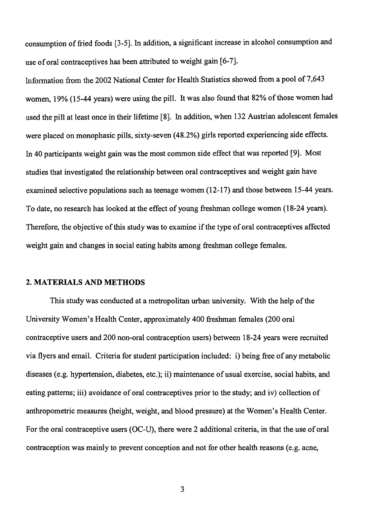consumption of fried foods [3-5]. In addition, a significant increase in alcohol consumption and use of oral contraceptives has been attributed to weight gain [6-7].

Information from the 2002 National Center for Health Statistics showed from a pool of 7,643 women, 19% (15-44 years) were using the pill. It was also found that 82% of those women had used the pill at least once in their lifetime [8]. In addition, when 132 Austrian adolescent females were placed on monophasic pills, sixty-seven (48.2%) girls reported experiencing side effects. In 40 participants weight gain was the most common side effect that was reported [9]. Most studies that investigated the relationship between oral contraceptives and weight gain have examined selective populations such as teenage women  $(12-17)$  and those between 15-44 years. To date, no research has looked at the effect of young freshman college women (18-24 years). Therefore, the objective of this study was to examine if the type of oral contraceptives affected weight gain and changes in social eating habits among freshman college females.

### 2. MATERIALS AND METHODS

This study was conducted at a metropolitan urban university. With the help of the University Women's Health Center, approximately 400 freshman females (200 oral contraceptive users and 200 non-oral contraception users) between 18-24 years were recruited via flyers and email. Criteria for student participation included: i) being free of any metabolic diseases (e.g. hypertension, diabetes, etc.); ii) maintenance of usual exercise, social habits, and eating patterns; iii) avoidance of oral contraceptives prior to the study; and iv) collection of anthropometric measures (height, weight, and blood pressure) at the Women's Health Center. For the oral contraceptive users (OC-U), there were 2 additional criteria, in that the use of oral contraception was mainly to prevent conception and not for other health reasons (e.g. acne,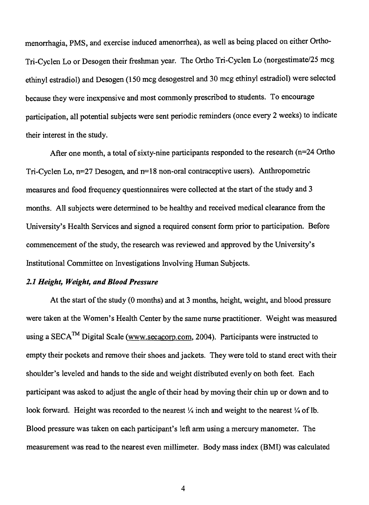menorrhagia, PMS, and exercise induced amenorrhea), as well as being placed on either Ortho-Tri-Cyclen Lo or Desogen their freshman year. The Ortho Tri-Cyclen Lo (norgestimate/25 mcg ethinyl estradiol) and Desogen (150 mcg desogestrel and 30 mcg ethinyl estradiol) were selected because they were inexpensive and most commonly prescribed to students. To encourage participation, all potential subjects were sent periodic reminders (once every 2 weeks) to indicate their interest in the study.

After one month, a total of sixty-nine participants responded to the research (n=24 Ortho Tri-Cyclen Lo, n=27 Desogen, and n=18 non-oral contraceptive users). Anthropometric measures and food frequency questionnaires were collected at the start of the study and 3 months. All subjects were determined to be healthy and received medical clearance from the University's Health Services and signed a required consent form prior to participation. Before commencement of the study, the research was reviewed and approved by the University's Institutional Committee on Investigations Involving Human Subjects.

# *2.1 Height, Weight, and Blood Pressure*

At the start of the study (0 months) and at 3 months, height, weight, and blood pressure were taken at the Women's Health Center by the same nurse practitioner. Weight was measured using a SECA<sup>TM</sup> Digital Scale (www.secacorp.com. 2004). Participants were instructed to empty their pockets and remove their shoes and jackets. They were told to stand erect with their shoulder's leveled and hands to the side and weight distributed evenly on both feet. Each participant was asked to adjust the angle of their head by moving their chin up or down and to look forward. Height was recorded to the nearest  $\frac{1}{4}$  inch and weight to the nearest  $\frac{1}{4}$  of lb. Blood pressure was taken on each participant's left arm using a mercury manometer. The measurement was read to the nearest even millimeter. Body mass index (BMI) was calculated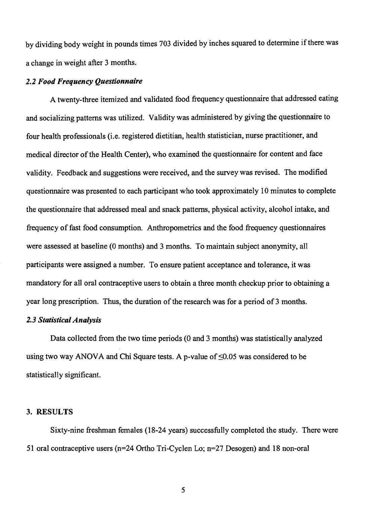by dividing body weight in pounds times 703 divided by inches squared to detennine if there was a change in weight after 3 months.

#### *2.2 Food Frequency Questionnaire*

A twenty-three itemized and validated food frequency questionnaire that addressed eating and socializing patterns was utilized. Validity was administered by giving the questionnaire to four health professionals (i.e. registered dietitian, health statistician, nurse practitioner, and medical director of the Health Center), who examined the questionnaire for content and face validity. Feedback and suggestions were received, and the survey was revised. The modified questionnaire was presented to each participant who took approximately 10 minutes to complete the questionnaire that addressed meal and snack patterns, physical activity, alcohol intake, and frequency of fast food consumption. Anthropometrics and the food frequency questionnaires were assessed at baseline (0 months) and 3 months. To maintain subject anonymity, all participants were assigned a number. To ensure patient acceptance and tolerance, it was mandatory for all oral contraceptive users to obtain a three month checkup prior to obtaining a year long prescription. Thus, the duration of the research was for a period of 3 months.

# *2.3 Statistical Analysis*

Data collected from the two time periods (0 and 3 months) was statistically analyzed using two way ANOVA and Chi Square tests. A p-value of  $\leq 0.05$  was considered to be statistically significant.

## 3. RESULTS

Sixty-nine freshman females (18-24 years) successfully completed the study. There were 51 oral contraceptive users (n=24 Ortho Tri-Cyclen Lo; n=27 Desogen) and 18 non-oral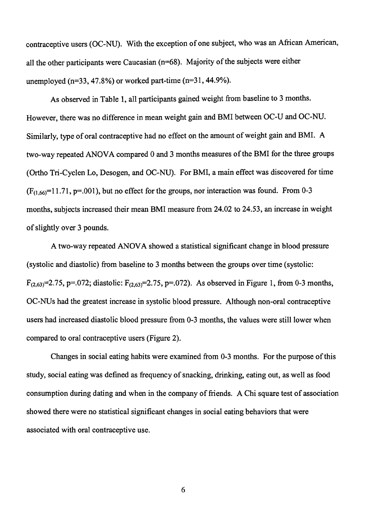contraceptive users (OC-NU). With the exception of one subject, who was an African American, all the other participants were Caucasian ( $n=68$ ). Majority of the subjects were either unemployed ( $n=33, 47.8\%$ ) or worked part-time ( $n=31, 44.9\%$ ).

As observed in Table 1, all participants gained weight from baseline to 3 months. However, there was no difference in mean weight gain and BMI between OC-U and OC-NU. Similarly, type of oral contraceptive had no effect on the amount of weight gain and BMI. A two-way repeated ANOVA compared 0 and 3 months measures of the BMI for the three groups (Ortho Tri-Cyclen Lo, Desogen, and OC-NU). For BMI, a main effect was discovered for time  $(F<sub>(1.66)</sub>=11.71, p=.001)$ , but no effect for the groups, nor interaction was found. From 0-3 months, subjects increased their mean BMI measure from 24.02 to 24.53, an increase in weight of slightly over 3 pounds.

A two-way repeated ANOVA showed a statistical significant change in blood pressure (systolic and diastolic) from baseline to 3 months between the groups over time (systolic:  $F_{(2,63)}=2.75$ , p=.072; diastolic:  $F_{(2,63)}=2.75$ , p=.072). As observed in Figure 1, from 0-3 months, OC-NUs had the greatest increase in systolic blood pressure. Although non-oral contraceptive users had increased diastolic blood pressure from 0-3 months, the values were still lower when compared to oral contraceptive users (Figure 2).

Changes in social eating habits were examined from 0-3 months. For the purpose ofthis study, social eating was defined as frequency of snacking, drinking, eating out, as well as food consumption during dating and when in the company of friends. A Chi square test of association showed there were no statistical significant changes in social eating behaviors that were associated with oral contraceptive use.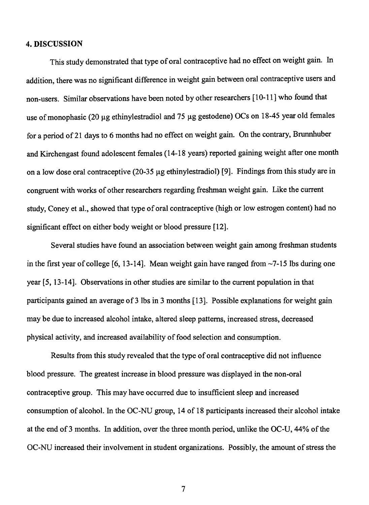# 4. DISCUSSION

This study demonstrated that type of oral contraceptive had no effect on weight gain. In addition, there was no significant difference in weight gain between oral contraceptive users and non-users. Similar observations have been noted by other researchers [10-11] who found that use of monophasic (20  $\mu$ g ethinylestradiol and 75  $\mu$ g gestodene) OCs on 18-45 year old females for a period of21 days to 6 months had no effect on weight gain. On the contrary, Brunnhuber and Kirchengast found adolescent females (14-18 years) reported gaining weight after one month on a low dose oral contraceptive (20-35 µg ethinylestradiol) [9]. Findings from this study are in congruent with works of other researchers regarding freshman weight gain. Like the current study, Coney et al., showed that type of oral contraceptive (high or low estrogen content) had no significant effect on either body weight or blood pressure [12].

Several studies have found an association between weight gain among freshman students in the first year of college  $[6, 13-14]$ . Mean weight gain have ranged from  $\sim$ 7-15 lbs during one year [5, 13-14]. Observations in other studies are similar to the current population in that participants gained an average of 3 lbs in 3 months [13]. Possible explanations for weight gain may be due to increased alcohol intake, altered sleep patterns, increased stress, decreased physical activity, and increased availability of food selection and consumption.

Results from this study revealed that the type of oral contraceptive did not influence blood pressure. The greatest increase in blood pressure was displayed in the non-oral contraceptive group. This may have occurred due to insufficient sleep and increased consumption of alcohol. In the OC-NU group, 14 of 18 participants increased their alcohol intake at the end of3 months. In addition, over the three month period, unlike the OC-U, 44% of the OC-NU increased their involvement in student organizations. Possibly, the amount of stress the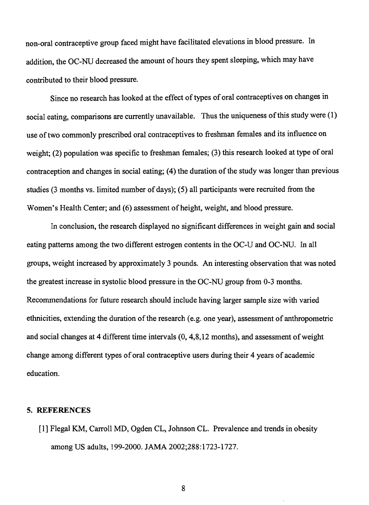non-oral contraceptive group faced might have facilitated elevations in blood pressure. In addition, the OC-NU decreased the amount of hours they spent sleeping, which may have contributed to their blood pressure.

Since no research has looked at the effect of types of oral contraceptives on changes in social eating, comparisons are currently unavailable. Thus the uniqueness of this study were (1) use of two commonly prescribed oral contraceptives to freshman females and its influence on weight; (2) population was specific to freshman females; (3) this research looked at type of oral contraception and changes in social eating; (4) the duration of the study was longer than previous studies (3 months vs. limited number of days); (5) all participants were recruited from the Women's Health Center; and (6) assessment of height, weight, and blood pressure.

In conclusion, the research displayed no significant differences in weight gain and social eating patterns among the two different estrogen contents in the OC-U and OC-NU. In all groups, weight increased by approximately 3 pounds. An interesting observation that was noted the greatest increase in systolic blood pressure in the OC-NU group from 0-3 months. Recommendations for future research should include having larger sample size with varied ethnicities, extending the duration of the research (e.g. one year), assessment of anthropometric and social changes at 4 different time intervals (0, 4,8,12 months), and assessment of weight change among different types of oral contraceptive users during their 4 years of academic education.

#### S. REFERENCES

[1] Flegal KM, Carroll MD, Ogden CL, Johnson CL. Prevalence and trends in obesity among US adults, 199-2000. JAMA2002;288:1723-1727.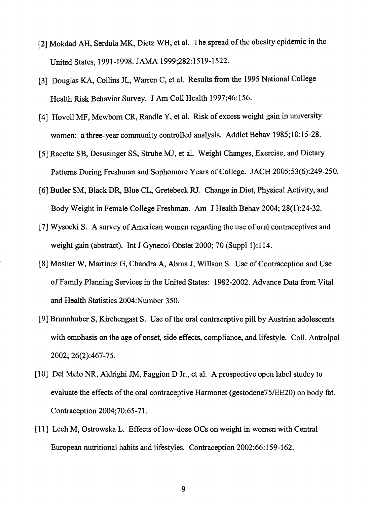- [2] Mokdad AH, Serdula MK, Dietz WH, et al. The spread of the obesity epidemic in the United States, 1991-1998. JAMA 1999;282:1519-1522.
- [3] Douglas KA, Collins JL, Warren C, et al. Results from the 1995 National College Health Risk Behavior Survey. J Am ColI Health 1997;46:156.
- [4] Hovell MF, Mewborn CR, Randle Y, et al. Risk of excess weight gain in university women: a three-year community controlled analysis. Addict Behav 1985;10:15-28.
- [5] Racette SB, Desusinger SS, Strube MJ, et al. Weight Changes, Exercise, and Dietary Patterns During Freshman and Sophomore Years of College. JACH 2005;53(6):249-250.
- [6] Butler SM, Black DR, Blue CL, Gretebeck RI. Change in Diet, Physical Activity, and Body Weight in Female College Freshman. Am J Health Behav 2004; 28(1):24-32.
- [7] Wysocki S. A survey of American women regarding the use of oral contraceptives and weight gain (abstract). Int J Gynecol Obstet 2000; 70 (Suppl 1):114.
- [8] Mosher W, Martinez G, Chandra A, Abma J, Willson S. Use of Contraception and Use of Family Planning Services in the United States: 1982-2002. Advance Data from Vital and Health Statistics 2004:Number 350.
- [9] Brunnhuber S, Kirchengast S. Use of the oral contraceptive pill by Austrian adolescents with emphasis on the age of onset, side effects, compliance, and lifestyle. Coll. Antrolpol 2002; 26(2):467-75.
- [10] Del Melo NR, Aldrighi JM, Faggion D Jr., et aL A prospective open label studey to evaluate the effects of the oral contraceptive Harmonet (gestodene75/EE20) on body fat. Contraception 2004;70:65-71.
- [11] Lech M, Ostrowska L. Effects of low-dose OCs on weight in women with Central European nutritional habits and lifestyles. Contraception 2002;66: 159-162.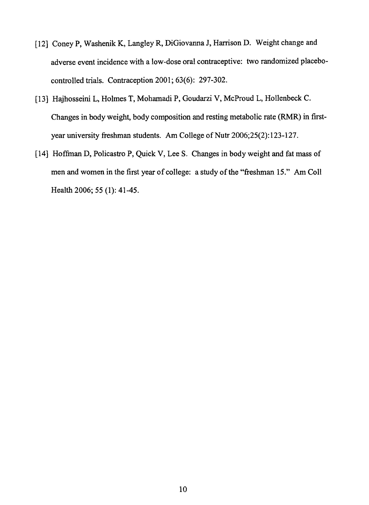- [12] Coney P, Washenik K, Langley R, DiGiovanna J, Harrison D. Weight change and adverse event incidence with a low-dose oral contraceptive: two randomized placebocontrolled trials. Contraception 2001; 63(6): 297-302.
- [13] Hajhosseini L, Holmes T, Mohamadi P, Goudarzi V, McProud L, Hollenbeck C. Changes in body weight, body composition and resting metabolic rate (RMR) in firstyear university freshman students. Am College of Nutr 2006;25(2):123-127.
- [141 Hoffinan D, Policastro P, Quick V, Lee S. Changes in body weight and fat mass of men and women in the first year of college: a study of the "freshman 15." Am ColI Health 2006; 55 (1): 41-45.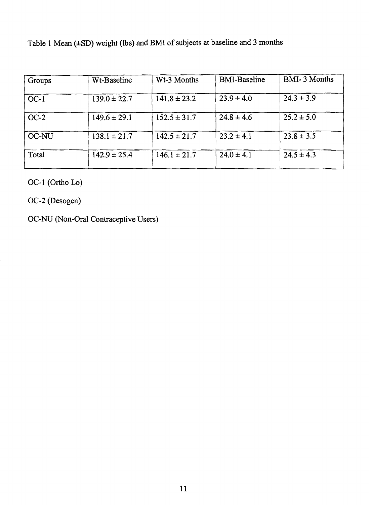Table 1 Mean (±SD) weight (lbs) and BMI of subjects at baseline and 3 months

| Groups | Wt-Baseline      | Wt-3 Months      | <b>BMI-Baseline</b> | <b>BMI-3 Months</b> |
|--------|------------------|------------------|---------------------|---------------------|
| $OC-1$ | $139.0 \pm 22.7$ | $141.8 \pm 23.2$ | $23.9 \pm 4.0$      | $24.3 \pm 3.9$      |
| $OC-2$ | $149.6 \pm 29.1$ | $152.5 \pm 31.7$ | $24.8 \pm 4.6$      | $25.2 \pm 5.0$      |
| OC-NU  | $138.1 \pm 21.7$ | $142.5 \pm 21.7$ | $23.2 \pm 4.1$      | $23.8 \pm 3.5$      |
| Total  | $142.9 \pm 25.4$ | $146.1 \pm 21.7$ | $24.0 \pm 4.1$      | $24.5 \pm 4.3$      |

OC-1 (Ortho Lo)

OC-2 (Desogen)

OC-NU (Non-Oral Contraceptive Users)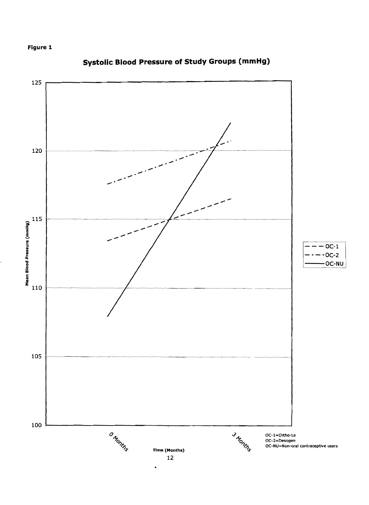



# **Systolic Blood Pressure of Study Groups (mmHg)**